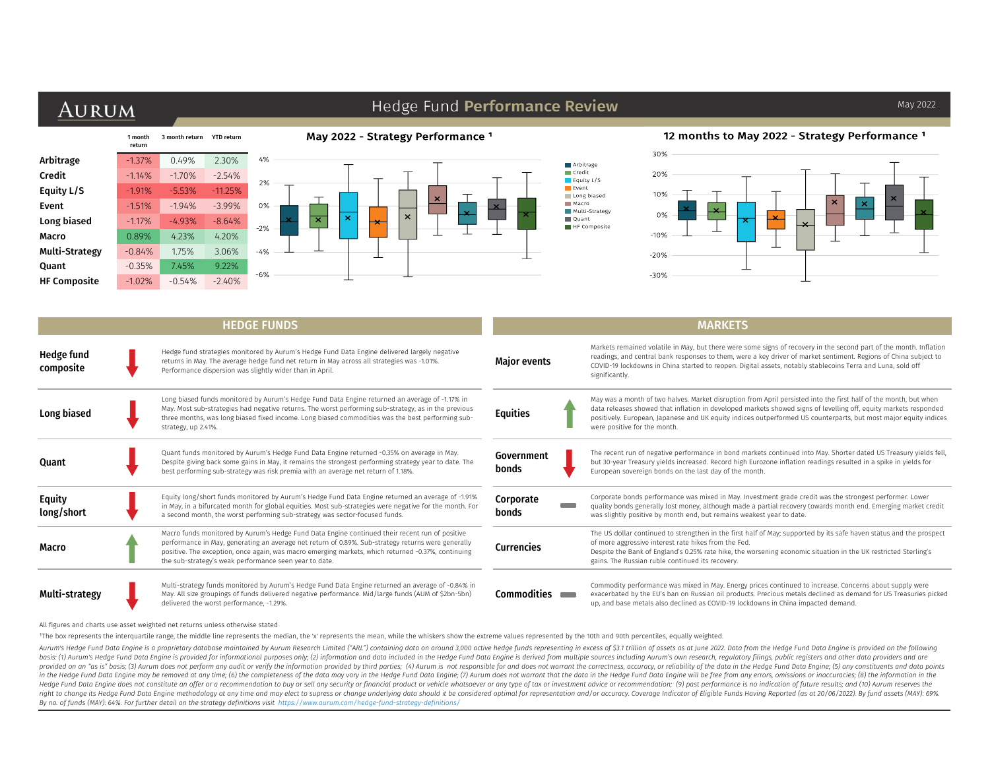# AURUM

## Hedge Fund Performance Review

|                     | 1 month<br>return | 3 month return | <b>YTD</b> return |       |
|---------------------|-------------------|----------------|-------------------|-------|
| Arbitrage           | $-1.37%$          | 0.49%          | 2.30%             | 4%    |
| Credit              | $-1.14%$          | $-1.70%$       | $-2.54%$          | 2%    |
| Equity L/S          | $-1.91%$          | $-5.53%$       | $-11.25%$         |       |
| Event               | $-1.51%$          | $-1.94%$       | $-3.99%$          | 0%    |
| Long biased         | $-1.17%$          | $-4.93%$       | $-8.64%$          | $-2%$ |
| Macro               | 0.89%             | 4.23%          | 4.20%             |       |
| Multi-Strategy      | $-0.84%$          | 1.75%          | 3.06%             | $-4%$ |
| <b>Quant</b>        | $-0.35%$          | 7.45%          | 9.22%             |       |
| <b>HF Composite</b> | $-1.02%$          | $-0.54%$       | $-2.40%$          | $-6%$ |

#### May 2022 - Strategy Performance<sup>1</sup>



### 12 months to May 2022 - Strategy Performance<sup>1</sup>



|                         | <b>HEDGE FUNDS</b>                                                                                                                                                                                                                                                                                                                                                   | <b>MARKETS</b>      |                                                                                                                                                                                                                                                                                                                                                                                          |  |  |  |  |  |  |
|-------------------------|----------------------------------------------------------------------------------------------------------------------------------------------------------------------------------------------------------------------------------------------------------------------------------------------------------------------------------------------------------------------|---------------------|------------------------------------------------------------------------------------------------------------------------------------------------------------------------------------------------------------------------------------------------------------------------------------------------------------------------------------------------------------------------------------------|--|--|--|--|--|--|
| Hedge fund<br>composite | Hedge fund strategies monitored by Aurum's Hedge Fund Data Engine delivered largely negative<br>returns in May. The average hedge fund net return in May across all strategies was -1.01%.<br>Performance dispersion was slightly wider than in April.                                                                                                               | <b>Major events</b> | Markets remained volatile in May, but there were some signs of recovery in the second part of the month. Inflation<br>readings, and central bank responses to them, were a key driver of market sentiment. Regions of China subject to<br>COVID-19 lockdowns in China started to reopen. Digital assets, notably stablecoins Terra and Luna, sold off<br>significantly.                  |  |  |  |  |  |  |
| Long biased             | Long biased funds monitored by Aurum's Hedge Fund Data Engine returned an average of -1.17% in<br>May. Most sub-strategies had negative returns. The worst performing sub-strategy, as in the previous<br>three months, was long biased fixed income. Long biased commodities was the best performing sub-<br>strategy, up 2.41%.                                    | Equities            | May was a month of two halves. Market disruption from April persisted into the first half of the month, but when<br>data releases showed that inflation in developed markets showed signs of levelling off, equity markets responded<br>positively. European, Japanese and UK equity indices outperformed US counterparts, but most major equity indices<br>were positive for the month. |  |  |  |  |  |  |
| Quant                   | Quant funds monitored by Aurum's Hedge Fund Data Engine returned -0.35% on average in May.<br>Despite giving back some gains in May, it remains the strongest performing strategy year to date. The<br>best performing sub-strategy was risk premia with an average net return of 1.18%.                                                                             | Government<br>bonds | The recent run of negative performance in bond markets continued into May. Shorter dated US Treasury yields fell,<br>but 30-year Treasury yields increased. Record high Eurozone inflation readings resulted in a spike in yields for<br>European sovereign bonds on the last day of the month.                                                                                          |  |  |  |  |  |  |
| Equity<br>long/short    | Equity long/short funds monitored by Aurum's Hedge Fund Data Engine returned an average of -1.91%<br>in May, in a bifurcated month for global equities. Most sub-strategies were negative for the month. For<br>a second month, the worst performing sub-strategy was sector-focused funds.                                                                          | Corporate<br>bonds  | Corporate bonds performance was mixed in May. Investment grade credit was the strongest performer. Lower<br>quality bonds generally lost money, although made a partial recovery towards month end. Emerging market credit<br>was slightly positive by month end, but remains weakest year to date.                                                                                      |  |  |  |  |  |  |
| Macro                   | Macro funds monitored by Aurum's Hedge Fund Data Engine continued their recent run of positive<br>performance in May, generating an average net return of 0.89%. Sub-strategy returns were generally<br>positive. The exception, once again, was macro emerging markets, which returned -0.37%, continuing<br>the sub-strategy's weak performance seen year to date. | Currencies          | The US dollar continued to strengthen in the first half of May; supported by its safe haven status and the prospect<br>of more aggressive interest rate hikes from the Fed.<br>Despite the Bank of England's 0.25% rate hike, the worsening economic situation in the UK restricted Sterling's<br>gains. The Russian ruble continued its recovery.                                       |  |  |  |  |  |  |
| Multi-strategv          | Multi-strategy funds monitored by Aurum's Hedge Fund Data Engine returned an average of -0.84% in<br>May. All size groupings of funds delivered negative performance. Mid/large funds (AUM of \$2bn-5bn)<br>delivered the worst performance, -1.29%.                                                                                                                 | <b>Commodities</b>  | Commodity performance was mixed in May. Energy prices continued to increase. Concerns about supply were<br>exacerbated by the EU's ban on Russian oil products. Precious metals declined as demand for US Treasuries picked<br>up, and base metals also declined as COVID-19 lockdowns in China impacted demand.                                                                         |  |  |  |  |  |  |

All figures and charts use asset weighted net returns unless otherwise stated

The box represents the interquartile range, the middle line represents the median, the 'x' represents the mean, while the whiskers show the extreme values represented by the 10th and 90th percentiles, equally weighted.

Aurum's Hedge Fund Data Engine is a proprietary database maintained by Aurum Research Limited ("ARL") containing data on around 3,000 active hedge funds representing in excess of \$3.1 trillion of assets as at June 2022. Da basis: (1) Aurum's Hedge Fund Data Engine is provided for informational purposes only; (2) information and data included in the Hedge Fund Data Engine is derived from multiple sources including Aurum's own research, regula provided on an "as is" basis; (3) Aurum does not perform any audit or verify the information provided by third parties; (4) Aurum is not responsible for and does not warrant the correctness, accuracy, or reliability of the in the Hedge Fund Data Engine may be removed at any time; (6) the completeness of the data may vary in the Hedge Fund Data Engine; (7) Aurum does not warrant that the data in the Hedge Fund Data Engine will be free from an Hedge Fund Data Engine does not constitute an offer or a recommendation to buy or sell any security or financial product or vehicle whatsoever or any type of tax or investment advice or recommendation; (9) past performance right to change its Hedge Fund Data Engine methodology at any time and may elect to supress or change underlying data should it be considered optimal for representation and/or accuracy. Coverage Indicator of Eligible Funds *By no. of funds (MAY): 64%. For further detail on the strategy definitions visit https://www.aurum.com/hedge-fund-strategy-definitions/*